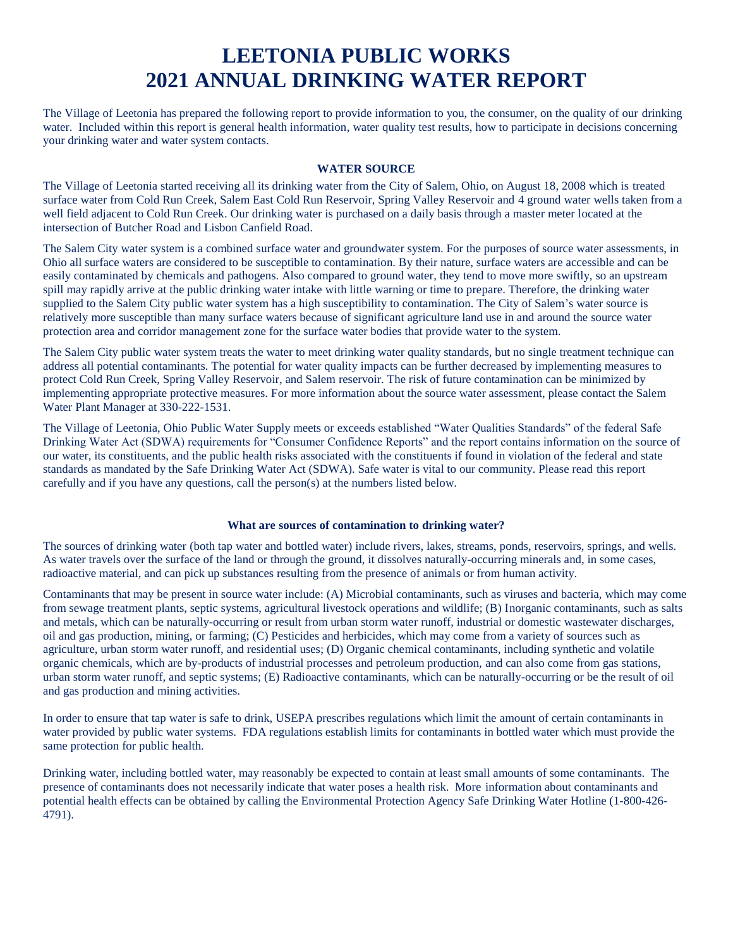# **LEETONIA PUBLIC WORKS 2021 ANNUAL DRINKING WATER REPORT**

The Village of Leetonia has prepared the following report to provide information to you, the consumer, on the quality of our drinking water. Included within this report is general health information, water quality test results, how to participate in decisions concerning your drinking water and water system contacts.

### **WATER SOURCE**

The Village of Leetonia started receiving all its drinking water from the City of Salem, Ohio, on August 18, 2008 which is treated surface water from Cold Run Creek, Salem East Cold Run Reservoir, Spring Valley Reservoir and 4 ground water wells taken from a well field adjacent to Cold Run Creek. Our drinking water is purchased on a daily basis through a master meter located at the intersection of Butcher Road and Lisbon Canfield Road.

The Salem City water system is a combined surface water and groundwater system. For the purposes of source water assessments, in Ohio all surface waters are considered to be susceptible to contamination. By their nature, surface waters are accessible and can be easily contaminated by chemicals and pathogens. Also compared to ground water, they tend to move more swiftly, so an upstream spill may rapidly arrive at the public drinking water intake with little warning or time to prepare. Therefore, the drinking water supplied to the Salem City public water system has a high susceptibility to contamination. The City of Salem's water source is relatively more susceptible than many surface waters because of significant agriculture land use in and around the source water protection area and corridor management zone for the surface water bodies that provide water to the system.

The Salem City public water system treats the water to meet drinking water quality standards, but no single treatment technique can address all potential contaminants. The potential for water quality impacts can be further decreased by implementing measures to protect Cold Run Creek, Spring Valley Reservoir, and Salem reservoir. The risk of future contamination can be minimized by implementing appropriate protective measures. For more information about the source water assessment, please contact the Salem Water Plant Manager at 330-222-1531.

The Village of Leetonia, Ohio Public Water Supply meets or exceeds established "Water Qualities Standards" of the federal Safe Drinking Water Act (SDWA) requirements for "Consumer Confidence Reports" and the report contains information on the source of our water, its constituents, and the public health risks associated with the constituents if found in violation of the federal and state standards as mandated by the Safe Drinking Water Act (SDWA). Safe water is vital to our community. Please read this report carefully and if you have any questions, call the person(s) at the numbers listed below.

## **What are sources of contamination to drinking water?**

The sources of drinking water (both tap water and bottled water) include rivers, lakes, streams, ponds, reservoirs, springs, and wells. As water travels over the surface of the land or through the ground, it dissolves naturally-occurring minerals and, in some cases, radioactive material, and can pick up substances resulting from the presence of animals or from human activity.

Contaminants that may be present in source water include: (A) Microbial contaminants, such as viruses and bacteria, which may come from sewage treatment plants, septic systems, agricultural livestock operations and wildlife; (B) Inorganic contaminants, such as salts and metals, which can be naturally-occurring or result from urban storm water runoff, industrial or domestic wastewater discharges, oil and gas production, mining, or farming; (C) Pesticides and herbicides, which may come from a variety of sources such as agriculture, urban storm water runoff, and residential uses; (D) Organic chemical contaminants, including synthetic and volatile organic chemicals, which are by-products of industrial processes and petroleum production, and can also come from gas stations, urban storm water runoff, and septic systems; (E) Radioactive contaminants, which can be naturally-occurring or be the result of oil and gas production and mining activities.

In order to ensure that tap water is safe to drink, USEPA prescribes regulations which limit the amount of certain contaminants in water provided by public water systems. FDA regulations establish limits for contaminants in bottled water which must provide the same protection for public health.

Drinking water, including bottled water, may reasonably be expected to contain at least small amounts of some contaminants. The presence of contaminants does not necessarily indicate that water poses a health risk. More information about contaminants and potential health effects can be obtained by calling the Environmental Protection Agency Safe Drinking Water Hotline (1-800-426- 4791).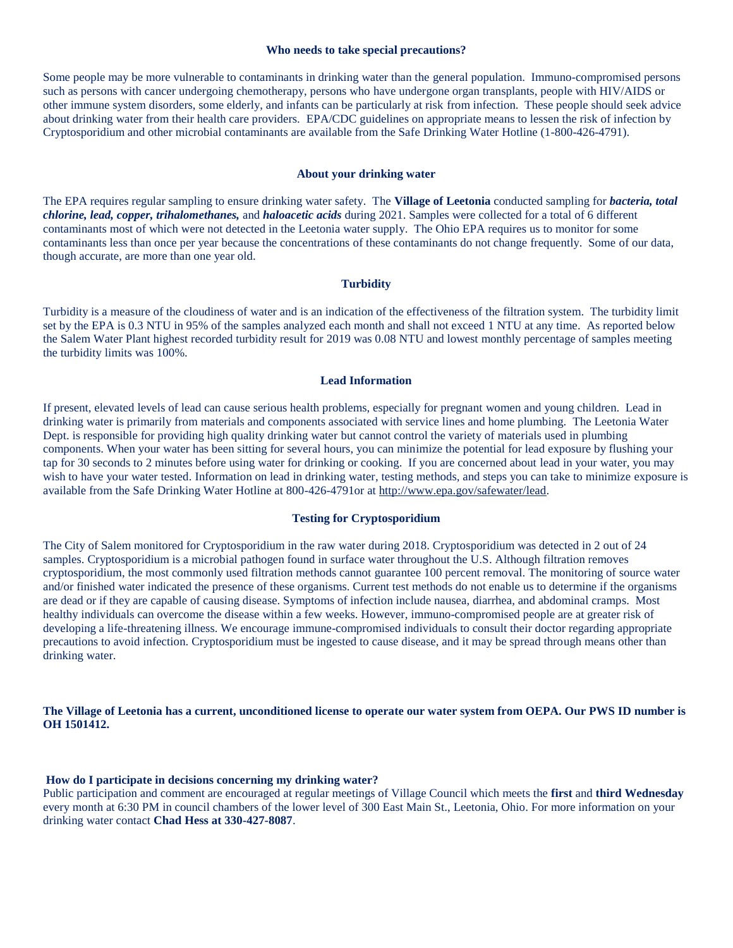#### **Who needs to take special precautions?**

Some people may be more vulnerable to contaminants in drinking water than the general population. Immuno-compromised persons such as persons with cancer undergoing chemotherapy, persons who have undergone organ transplants, people with HIV/AIDS or other immune system disorders, some elderly, and infants can be particularly at risk from infection. These people should seek advice about drinking water from their health care providers. EPA/CDC guidelines on appropriate means to lessen the risk of infection by Cryptosporidium and other microbial contaminants are available from the Safe Drinking Water Hotline (1-800-426-4791).

#### **About your drinking water**

The EPA requires regular sampling to ensure drinking water safety. The **Village of Leetonia** conducted sampling for *bacteria, total chlorine, lead, copper, trihalomethanes,* and *haloacetic acids* during 2021. Samples were collected for a total of 6 different contaminants most of which were not detected in the Leetonia water supply. The Ohio EPA requires us to monitor for some contaminants less than once per year because the concentrations of these contaminants do not change frequently. Some of our data, though accurate, are more than one year old.

#### **Turbidity**

Turbidity is a measure of the cloudiness of water and is an indication of the effectiveness of the filtration system. The turbidity limit set by the EPA is 0.3 NTU in 95% of the samples analyzed each month and shall not exceed 1 NTU at any time. As reported below the Salem Water Plant highest recorded turbidity result for 2019 was 0.08 NTU and lowest monthly percentage of samples meeting the turbidity limits was 100%.

#### **Lead Information**

If present, elevated levels of lead can cause serious health problems, especially for pregnant women and young children. Lead in drinking water is primarily from materials and components associated with service lines and home plumbing. The Leetonia Water Dept. is responsible for providing high quality drinking water but cannot control the variety of materials used in plumbing components. When your water has been sitting for several hours, you can minimize the potential for lead exposure by flushing your tap for 30 seconds to 2 minutes before using water for drinking or cooking. If you are concerned about lead in your water, you may wish to have your water tested. Information on lead in drinking water, testing methods, and steps you can take to minimize exposure is available from the Safe Drinking Water Hotline at 800-426-4791or a[t http://www.epa.gov/safewater/lead.](http://www.epa.gov/safewater/lead)

### **Testing for Cryptosporidium**

The City of Salem monitored for Cryptosporidium in the raw water during 2018. Cryptosporidium was detected in 2 out of 24 samples. Cryptosporidium is a microbial pathogen found in surface water throughout the U.S. Although filtration removes cryptosporidium, the most commonly used filtration methods cannot guarantee 100 percent removal. The monitoring of source water and/or finished water indicated the presence of these organisms. Current test methods do not enable us to determine if the organisms are dead or if they are capable of causing disease. Symptoms of infection include nausea, diarrhea, and abdominal cramps. Most healthy individuals can overcome the disease within a few weeks. However, immuno-compromised people are at greater risk of developing a life-threatening illness. We encourage immune-compromised individuals to consult their doctor regarding appropriate precautions to avoid infection. Cryptosporidium must be ingested to cause disease, and it may be spread through means other than drinking water.

# **The Village of Leetonia has a current, unconditioned license to operate our water system from OEPA. Our PWS ID number is OH 1501412.**

#### **How do I participate in decisions concerning my drinking water?**

Public participation and comment are encouraged at regular meetings of Village Council which meets the **first** and **third Wednesday** every month at 6:30 PM in council chambers of the lower level of 300 East Main St., Leetonia, Ohio. For more information on your drinking water contact **Chad Hess at 330-427-8087**.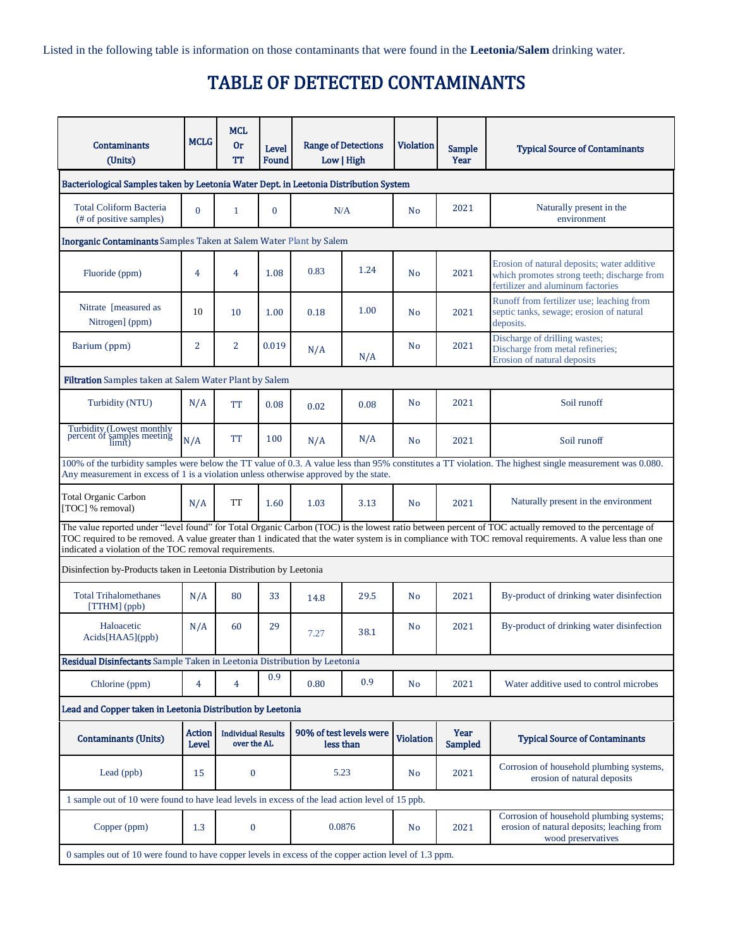Listed in the following table is information on those contaminants that were found in the **Leetonia/Salem** drinking water.

# TABLE OF DETECTED CONTAMINANTS

| <b>Contaminants</b><br>(Units)                                                                                                                                                                                                                                                                                                                                               | <b>MCLG</b>                                                                                                                                                                                                                                        | <b>MCL</b><br><b>Or</b><br>TT            | <b>Level</b><br>Found |                                      | <b>Range of Detections</b><br>Low   High | <b>Violation</b> | <b>Sample</b><br>Year         | <b>Typical Source of Contaminants</b>                                                                                           |  |
|------------------------------------------------------------------------------------------------------------------------------------------------------------------------------------------------------------------------------------------------------------------------------------------------------------------------------------------------------------------------------|----------------------------------------------------------------------------------------------------------------------------------------------------------------------------------------------------------------------------------------------------|------------------------------------------|-----------------------|--------------------------------------|------------------------------------------|------------------|-------------------------------|---------------------------------------------------------------------------------------------------------------------------------|--|
| Bacteriological Samples taken by Leetonia Water Dept. in Leetonia Distribution System                                                                                                                                                                                                                                                                                        |                                                                                                                                                                                                                                                    |                                          |                       |                                      |                                          |                  |                               |                                                                                                                                 |  |
| <b>Total Coliform Bacteria</b><br>(# of positive samples)                                                                                                                                                                                                                                                                                                                    | $\Omega$                                                                                                                                                                                                                                           | 1                                        | $\mathbf{0}$          | N/A                                  |                                          | N <sub>o</sub>   | 2021                          | Naturally present in the<br>environment                                                                                         |  |
| <b>Inorganic Contaminants</b> Samples Taken at Salem Water Plant by Salem                                                                                                                                                                                                                                                                                                    |                                                                                                                                                                                                                                                    |                                          |                       |                                      |                                          |                  |                               |                                                                                                                                 |  |
| Fluoride (ppm)                                                                                                                                                                                                                                                                                                                                                               | 4                                                                                                                                                                                                                                                  | $\overline{4}$                           | 1.08                  | 0.83                                 | 1.24                                     | N <sub>o</sub>   | 2021                          | Erosion of natural deposits; water additive<br>which promotes strong teeth; discharge from<br>fertilizer and aluminum factories |  |
| Nitrate [measured as<br>Nitrogen] (ppm)                                                                                                                                                                                                                                                                                                                                      | 10                                                                                                                                                                                                                                                 | 10                                       | 1.00                  | 0.18                                 | 1.00                                     | N <sub>o</sub>   | 2021                          | Runoff from fertilizer use; leaching from<br>septic tanks, sewage; erosion of natural<br>deposits.                              |  |
| Barium (ppm)                                                                                                                                                                                                                                                                                                                                                                 | $\overline{2}$                                                                                                                                                                                                                                     | $\overline{2}$                           | 0.019                 | N/A                                  | N/A                                      | N <sub>o</sub>   | 2021                          | Discharge of drilling wastes;<br>Discharge from metal refineries;<br>Erosion of natural deposits                                |  |
|                                                                                                                                                                                                                                                                                                                                                                              | <b>Filtration</b> Samples taken at Salem Water Plant by Salem                                                                                                                                                                                      |                                          |                       |                                      |                                          |                  |                               |                                                                                                                                 |  |
| Turbidity (NTU)                                                                                                                                                                                                                                                                                                                                                              | N/A                                                                                                                                                                                                                                                | <b>TT</b>                                | 0.08                  | 0.02                                 | 0.08                                     | N <sub>o</sub>   | 2021                          | Soil runoff                                                                                                                     |  |
| Turbidity (Lowest monthly<br>percent of samples meeting<br>limit)                                                                                                                                                                                                                                                                                                            | N/A                                                                                                                                                                                                                                                | <b>TT</b>                                | 100                   | N/A                                  | N/A                                      | N <sub>o</sub>   | 2021                          | Soil runoff                                                                                                                     |  |
|                                                                                                                                                                                                                                                                                                                                                                              | 100% of the turbidity samples were below the TT value of 0.3. A value less than 95% constitutes a TT violation. The highest single measurement was 0.080.<br>Any measurement in excess of 1 is a violation unless otherwise approved by the state. |                                          |                       |                                      |                                          |                  |                               |                                                                                                                                 |  |
| <b>Total Organic Carbon</b><br>[TOC] % removal)                                                                                                                                                                                                                                                                                                                              | N/A                                                                                                                                                                                                                                                | <b>TT</b>                                | 1.60                  | 1.03                                 | 3.13                                     | N <sub>o</sub>   | 2021                          | Naturally present in the environment                                                                                            |  |
| The value reported under "level found" for Total Organic Carbon (TOC) is the lowest ratio between percent of TOC actually removed to the percentage of<br>TOC required to be removed. A value greater than 1 indicated that the water system is in compliance with TOC removal requirements. A value less than one<br>indicated a violation of the TOC removal requirements. |                                                                                                                                                                                                                                                    |                                          |                       |                                      |                                          |                  |                               |                                                                                                                                 |  |
| Disinfection by-Products taken in Leetonia Distribution by Leetonia                                                                                                                                                                                                                                                                                                          |                                                                                                                                                                                                                                                    |                                          |                       |                                      |                                          |                  |                               |                                                                                                                                 |  |
| <b>Total Trihalomethanes</b><br>$[THM]$ (ppb)                                                                                                                                                                                                                                                                                                                                | N/A                                                                                                                                                                                                                                                | 80                                       | 33                    | 14.8                                 | 29.5                                     | N <sub>o</sub>   | 2021                          | By-product of drinking water disinfection                                                                                       |  |
| Haloacetic<br>Acids[HAA5](ppb)                                                                                                                                                                                                                                                                                                                                               | N/A                                                                                                                                                                                                                                                | 60                                       | 29                    | 7.27                                 | 38.1                                     | N <sub>o</sub>   | 2021                          | By-product of drinking water disinfection                                                                                       |  |
| Residual Disinfectants Sample Taken in Leetonia Distribution by Leetonia                                                                                                                                                                                                                                                                                                     |                                                                                                                                                                                                                                                    |                                          |                       |                                      |                                          |                  |                               |                                                                                                                                 |  |
| Chlorine (ppm)                                                                                                                                                                                                                                                                                                                                                               | $\overline{4}$                                                                                                                                                                                                                                     | 4                                        | 0.9                   | 0.80                                 | 0.9                                      | No               | 2021                          | Water additive used to control microbes                                                                                         |  |
| Lead and Copper taken in Leetonia Distribution by Leetonia                                                                                                                                                                                                                                                                                                                   |                                                                                                                                                                                                                                                    |                                          |                       |                                      |                                          |                  |                               |                                                                                                                                 |  |
| <b>Contaminants (Units)</b>                                                                                                                                                                                                                                                                                                                                                  | <b>Action</b><br>Level                                                                                                                                                                                                                             | <b>Individual Results</b><br>over the AL |                       | 90% of test levels were<br>less than |                                          | <b>Violation</b> | <b>Year</b><br><b>Sampled</b> | <b>Typical Source of Contaminants</b>                                                                                           |  |
| Lead (ppb)                                                                                                                                                                                                                                                                                                                                                                   | 15                                                                                                                                                                                                                                                 | $\bf{0}$                                 |                       | 5.23                                 |                                          | No               | 2021                          | Corrosion of household plumbing systems,<br>erosion of natural deposits                                                         |  |
| 1 sample out of 10 were found to have lead levels in excess of the lead action level of 15 ppb.                                                                                                                                                                                                                                                                              |                                                                                                                                                                                                                                                    |                                          |                       |                                      |                                          |                  |                               |                                                                                                                                 |  |
| Copper (ppm)                                                                                                                                                                                                                                                                                                                                                                 | 1.3                                                                                                                                                                                                                                                | $\bf{0}$                                 | 0.0876                |                                      |                                          | No               | 2021                          | Corrosion of household plumbing systems;<br>erosion of natural deposits; leaching from<br>wood preservatives                    |  |
| 0 samples out of 10 were found to have copper levels in excess of the copper action level of 1.3 ppm.                                                                                                                                                                                                                                                                        |                                                                                                                                                                                                                                                    |                                          |                       |                                      |                                          |                  |                               |                                                                                                                                 |  |